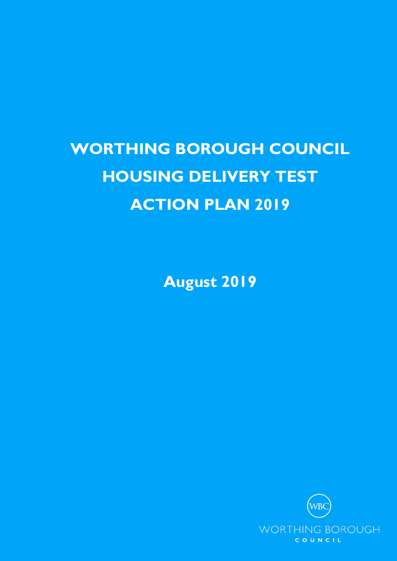# **WORTHING BOROUGH COUNCIL HOUSING DELIVERY TEST ACTION PLAN 2019**

**August 2019**

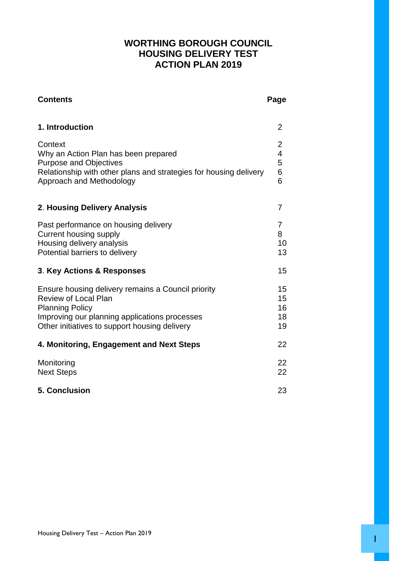# **WORTHING BOROUGH COUNCIL HOUSING DELIVERY TEST ACTION PLAN 2019**

| <b>Contents</b>                                                                                                                                                                                               | Page                                      |
|---------------------------------------------------------------------------------------------------------------------------------------------------------------------------------------------------------------|-------------------------------------------|
| 1. Introduction                                                                                                                                                                                               | $\overline{2}$                            |
| Context<br>Why an Action Plan has been prepared<br><b>Purpose and Objectives</b><br>Relationship with other plans and strategies for housing delivery<br>Approach and Methodology                             | $\overline{c}$<br>$\frac{4}{5}$<br>6<br>6 |
| 2. Housing Delivery Analysis                                                                                                                                                                                  | 7                                         |
| Past performance on housing delivery<br><b>Current housing supply</b><br>Housing delivery analysis<br>Potential barriers to delivery                                                                          | 7<br>8<br>10<br>13                        |
| <b>3. Key Actions &amp; Responses</b>                                                                                                                                                                         | 15                                        |
| Ensure housing delivery remains a Council priority<br><b>Review of Local Plan</b><br><b>Planning Policy</b><br>Improving our planning applications processes<br>Other initiatives to support housing delivery | 15<br>15<br>16<br>18<br>19                |
| 4. Monitoring, Engagement and Next Steps                                                                                                                                                                      | 22                                        |
| Monitoring<br><b>Next Steps</b>                                                                                                                                                                               | 22<br>22                                  |
| <b>5. Conclusion</b>                                                                                                                                                                                          | 23                                        |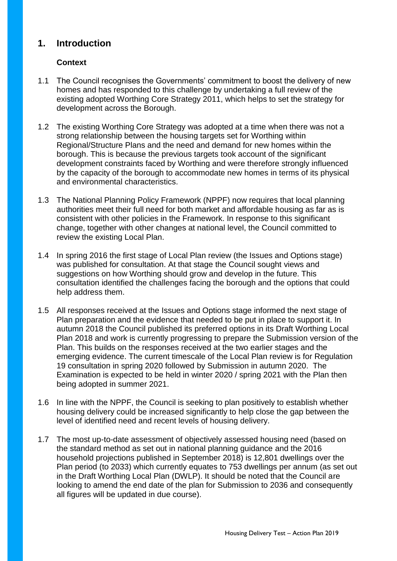# **1. Introduction**

# **Context**

- 1.1 The Council recognises the Governments' commitment to boost the delivery of new homes and has responded to this challenge by undertaking a full review of the existing adopted Worthing Core Strategy 2011, which helps to set the strategy for development across the Borough.
- 1.2 The existing Worthing Core Strategy was adopted at a time when there was not a strong relationship between the housing targets set for Worthing within Regional/Structure Plans and the need and demand for new homes within the borough. This is because the previous targets took account of the significant development constraints faced by Worthing and were therefore strongly influenced by the capacity of the borough to accommodate new homes in terms of its physical and environmental characteristics.
- 1.3 The National Planning Policy Framework (NPPF) now requires that local planning authorities meet their full need for both market and affordable housing as far as is consistent with other policies in the Framework. In response to this significant change, together with other changes at national level, the Council committed to review the existing Local Plan.
- 1.4 In spring 2016 the first stage of Local Plan review (the Issues and Options stage) was published for consultation. At that stage the Council sought views and suggestions on how Worthing should grow and develop in the future. This consultation identified the challenges facing the borough and the options that could help address them.
- 1.5 All responses received at the Issues and Options stage informed the next stage of Plan preparation and the evidence that needed to be put in place to support it. In autumn 2018 the Council published its preferred options in its Draft Worthing Local Plan 2018 and work is currently progressing to prepare the Submission version of the Plan. This builds on the responses received at the two earlier stages and the emerging evidence. The current timescale of the Local Plan review is for Regulation 19 consultation in spring 2020 followed by Submission in autumn 2020. The Examination is expected to be held in winter 2020 / spring 2021 with the Plan then being adopted in summer 2021.
- 1.6 In line with the NPPF, the Council is seeking to plan positively to establish whether housing delivery could be increased significantly to help close the gap between the level of identified need and recent levels of housing delivery.
- 1.7 The most up-to-date assessment of objectively assessed housing need (based on the standard method as set out in national planning guidance and the 2016 household projections published in September 2018) is 12,801 dwellings over the Plan period (to 2033) which currently equates to 753 dwellings per annum (as set out in the Draft Worthing Local Plan (DWLP). It should be noted that the Council are looking to amend the end date of the plan for Submission to 2036 and consequently all figures will be updated in due course).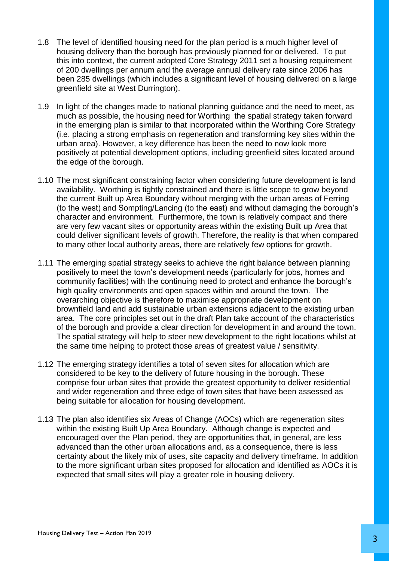- 1.8 The level of identified housing need for the plan period is a much higher level of housing delivery than the borough has previously planned for or delivered. To put this into context, the current adopted Core Strategy 2011 set a housing requirement of 200 dwellings per annum and the average annual delivery rate since 2006 has been 285 dwellings (which includes a significant level of housing delivered on a large greenfield site at West Durrington).
- 1.9 In light of the changes made to national planning guidance and the need to meet, as much as possible, the housing need for Worthing the spatial strategy taken forward in the emerging plan is similar to that incorporated within the Worthing Core Strategy (i.e. placing a strong emphasis on regeneration and transforming key sites within the urban area). However, a key difference has been the need to now look more positively at potential development options, including greenfield sites located around the edge of the borough.
- 1.10 The most significant constraining factor when considering future development is land availability. Worthing is tightly constrained and there is little scope to grow beyond the current Built up Area Boundary without merging with the urban areas of Ferring (to the west) and Sompting/Lancing (to the east) and without damaging the borough's character and environment. Furthermore, the town is relatively compact and there are very few vacant sites or opportunity areas within the existing Built up Area that could deliver significant levels of growth. Therefore, the reality is that when compared to many other local authority areas, there are relatively few options for growth.
- 1.11 The emerging spatial strategy seeks to achieve the right balance between planning positively to meet the town's development needs (particularly for jobs, homes and community facilities) with the continuing need to protect and enhance the borough's high quality environments and open spaces within and around the town. The overarching objective is therefore to maximise appropriate development on brownfield land and add sustainable urban extensions adjacent to the existing urban area. The core principles set out in the draft Plan take account of the characteristics of the borough and provide a clear direction for development in and around the town. The spatial strategy will help to steer new development to the right locations whilst at the same time helping to protect those areas of greatest value / sensitivity.
- 1.12 The emerging strategy identifies a total of seven sites for allocation which are considered to be key to the delivery of future housing in the borough. These comprise four urban sites that provide the greatest opportunity to deliver residential and wider regeneration and three edge of town sites that have been assessed as being suitable for allocation for housing development.
- 1.13 The plan also identifies six Areas of Change (AOCs) which are regeneration sites within the existing Built Up Area Boundary. Although change is expected and encouraged over the Plan period, they are opportunities that, in general, are less advanced than the other urban allocations and, as a consequence, there is less certainty about the likely mix of uses, site capacity and delivery timeframe. In addition to the more significant urban sites proposed for allocation and identified as AOCs it is expected that small sites will play a greater role in housing delivery.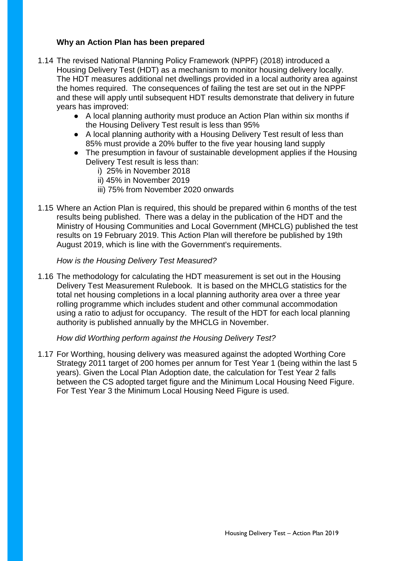# **Why an Action Plan has been prepared**

- 1.14 The revised National Planning Policy Framework (NPPF) (2018) introduced a Housing Delivery Test (HDT) as a mechanism to monitor housing delivery locally. The HDT measures additional net dwellings provided in a local authority area against the homes required. The consequences of failing the test are set out in the NPPF and these will apply until subsequent HDT results demonstrate that delivery in future years has improved:
	- A local planning authority must produce an Action Plan within six months if the Housing Delivery Test result is less than 95%
	- A local planning authority with a Housing Delivery Test result of less than 85% must provide a 20% buffer to the five year housing land supply
	- The presumption in favour of sustainable development applies if the Housing Delivery Test result is less than:
		- i) 25% in November 2018
			- ii) 45% in November 2019
			- iii) 75% from November 2020 onwards
- 1.15 Where an Action Plan is required, this should be prepared within 6 months of the test results being published. There was a delay in the publication of the HDT and the Ministry of Housing Communities and Local Government (MHCLG) published the test results on 19 February 2019. This Action Plan will therefore be published by 19th August 2019, which is line with the Government's requirements.

#### *How is the Housing Delivery Test Measured?*

1.16 The methodology for calculating the HDT measurement is set out in the Housing Delivery Test Measurement Rulebook. It is based on the MHCLG statistics for the total net housing completions in a local planning authority area over a three year rolling programme which includes student and other communal accommodation using a ratio to adjust for occupancy. The result of the HDT for each local planning authority is published annually by the MHCLG in November.

#### *How did Worthing perform against the Housing Delivery Test?*

1.17 For Worthing, housing delivery was measured against the adopted Worthing Core Strategy 2011 target of 200 homes per annum for Test Year 1 (being within the last 5 years). Given the Local Plan Adoption date, the calculation for Test Year 2 falls between the CS adopted target figure and the Minimum Local Housing Need Figure. For Test Year 3 the Minimum Local Housing Need Figure is used.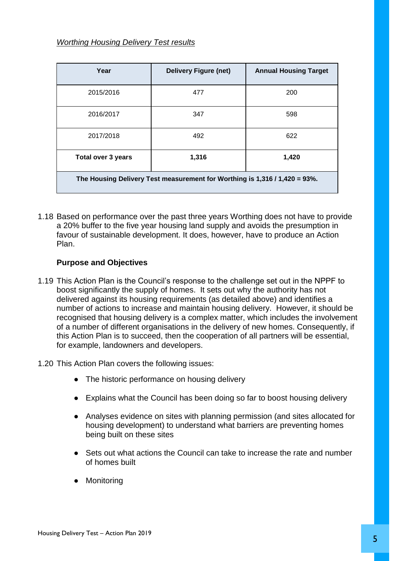# *Worthing Housing Delivery Test results*

| Year                                                                       | <b>Delivery Figure (net)</b> | <b>Annual Housing Target</b> |  |  |  |  |
|----------------------------------------------------------------------------|------------------------------|------------------------------|--|--|--|--|
| 2015/2016                                                                  | 477                          | 200                          |  |  |  |  |
| 2016/2017                                                                  | 347                          | 598                          |  |  |  |  |
| 2017/2018                                                                  | 492                          | 622                          |  |  |  |  |
| <b>Total over 3 years</b>                                                  | 1,316                        | 1,420                        |  |  |  |  |
| The Housing Delivery Test measurement for Worthing is 1,316 / 1,420 = 93%. |                              |                              |  |  |  |  |

1.18 Based on performance over the past three years Worthing does not have to provide a 20% buffer to the five year housing land supply and avoids the presumption in favour of sustainable development. It does, however, have to produce an Action Plan.

# **Purpose and Objectives**

- 1.19 This Action Plan is the Council's response to the challenge set out in the NPPF to boost significantly the supply of homes. It sets out why the authority has not delivered against its housing requirements (as detailed above) and identifies a number of actions to increase and maintain housing delivery. However, it should be recognised that housing delivery is a complex matter, which includes the involvement of a number of different organisations in the delivery of new homes. Consequently, if this Action Plan is to succeed, then the cooperation of all partners will be essential, for example, landowners and developers.
- 1.20 This Action Plan covers the following issues:
	- The historic performance on housing delivery
	- Explains what the Council has been doing so far to boost housing delivery
	- Analyses evidence on sites with planning permission (and sites allocated for housing development) to understand what barriers are preventing homes being built on these sites
	- Sets out what actions the Council can take to increase the rate and number of homes built
	- Monitoring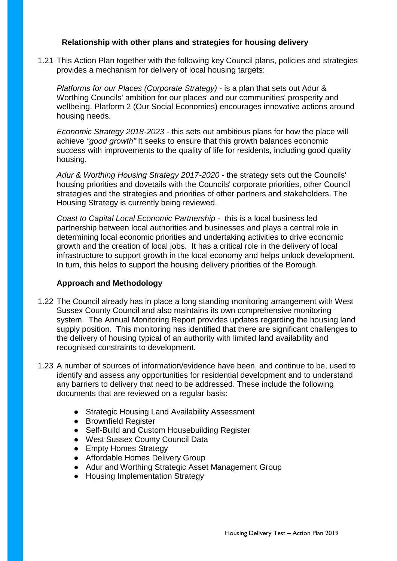# **Relationship with other plans and strategies for housing delivery**

1.21 This Action Plan together with the following key Council plans, policies and strategies provides a mechanism for delivery of local housing targets:

*Platforms for our Places (Corporate Strategy)* - is a plan that sets out Adur & Worthing Councils' ambition for our places' and our communities' prosperity and wellbeing. Platform 2 (Our Social Economies) encourages innovative actions around housing needs.

*Economic Strategy 2018-2023* - this sets out ambitious plans for how the place will achieve *"good growth"* It seeks to ensure that this growth balances economic success with improvements to the quality of life for residents, including good quality housing.

*Adur & Worthing Housing Strategy 2017-2020 -* the strategy sets out the Councils' housing priorities and dovetails with the Councils' corporate priorities, other Council strategies and the strategies and priorities of other partners and stakeholders. The Housing Strategy is currently being reviewed.

*Coast to Capital Local Economic Partnership* - this is a local business led partnership between local authorities and businesses and plays a central role in determining local economic priorities and undertaking activities to drive economic growth and the creation of local jobs. It has a critical role in the delivery of local infrastructure to support growth in the local economy and helps unlock development. In turn, this helps to support the housing delivery priorities of the Borough.

#### **Approach and Methodology**

- 1.22 The Council already has in place a long standing monitoring arrangement with West Sussex County Council and also maintains its own comprehensive monitoring system. The Annual Monitoring Report provides updates regarding the housing land supply position. This monitoring has identified that there are significant challenges to the delivery of housing typical of an authority with limited land availability and recognised constraints to development.
- 1.23 A number of sources of information/evidence have been, and continue to be, used to identify and assess any opportunities for residential development and to understand any barriers to delivery that need to be addressed. These include the following documents that are reviewed on a regular basis:
	- Strategic Housing Land Availability Assessment
	- Brownfield Register
	- Self-Build and Custom Housebuilding Register
	- West Sussex County Council Data
	- Empty Homes Strategy
	- Affordable Homes Delivery Group
	- Adur and Worthing Strategic Asset Management Group
	- Housing Implementation Strategy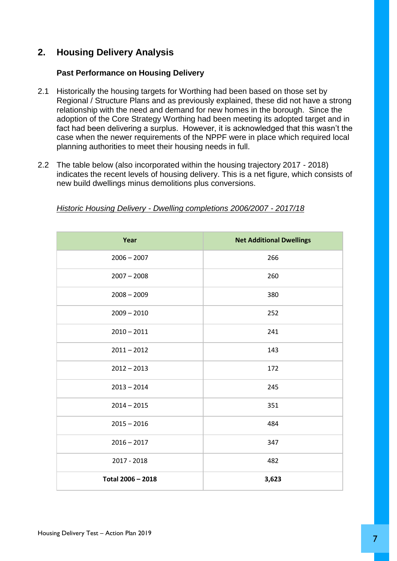# **2. Housing Delivery Analysis**

### **Past Performance on Housing Delivery**

- 2.1 Historically the housing targets for Worthing had been based on those set by Regional / Structure Plans and as previously explained, these did not have a strong relationship with the need and demand for new homes in the borough. Since the adoption of the Core Strategy Worthing had been meeting its adopted target and in fact had been delivering a surplus. However, it is acknowledged that this wasn't the case when the newer requirements of the NPPF were in place which required local planning authorities to meet their housing needs in full.
- 2.2 The table below (also incorporated within the housing trajectory 2017 2018) indicates the recent levels of housing delivery. This is a net figure, which consists of new build dwellings minus demolitions plus conversions.

| Year              | <b>Net Additional Dwellings</b> |
|-------------------|---------------------------------|
| $2006 - 2007$     | 266                             |
| $2007 - 2008$     | 260                             |
| $2008 - 2009$     | 380                             |
| $2009 - 2010$     | 252                             |
| $2010 - 2011$     | 241                             |
| $2011 - 2012$     | 143                             |
| $2012 - 2013$     | 172                             |
| $2013 - 2014$     | 245                             |
| $2014 - 2015$     | 351                             |
| $2015 - 2016$     | 484                             |
| $2016 - 2017$     | 347                             |
| 2017 - 2018       | 482                             |
| Total 2006 - 2018 | 3,623                           |

#### *Historic Housing Delivery - Dwelling completions 2006/2007 - 2017/18*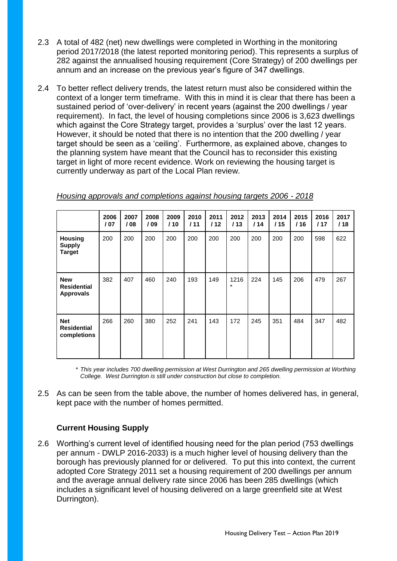- 2.3 A total of 482 (net) new dwellings were completed in Worthing in the monitoring period 2017/2018 (the latest reported monitoring period). This represents a surplus of 282 against the annualised housing requirement (Core Strategy) of 200 dwellings per annum and an increase on the previous year's figure of 347 dwellings.
- 2.4 To better reflect delivery trends, the latest return must also be considered within the context of a longer term timeframe. With this in mind it is clear that there has been a sustained period of 'over-delivery' in recent years (against the 200 dwellings / year requirement). In fact, the level of housing completions since 2006 is 3,623 dwellings which against the Core Strategy target, provides a 'surplus' over the last 12 years. However, it should be noted that there is no intention that the 200 dwelling / year target should be seen as a 'ceiling'. Furthermore, as explained above, changes to the planning system have meant that the Council has to reconsider this existing target in light of more recent evidence. Work on reviewing the housing target is currently underway as part of the Local Plan review.

|                                                      | 2006<br>/07 | 2007<br>/ 08 | 2008<br>/09 | 2009<br>/10 | 2010<br>111 | 2011<br>/12 | 2012<br>/13    | 2013<br>114 | 2014<br>/15 | 2015<br>/16 | 2016<br>117 | 2017<br>/18 |
|------------------------------------------------------|-------------|--------------|-------------|-------------|-------------|-------------|----------------|-------------|-------------|-------------|-------------|-------------|
| <b>Housing</b><br><b>Supply</b><br><b>Target</b>     | 200         | 200          | 200         | 200         | 200         | 200         | 200            | 200         | 200         | 200         | 598         | 622         |
| <b>New</b><br><b>Residential</b><br><b>Approvals</b> | 382         | 407          | 460         | 240         | 193         | 149         | 1216<br>$\ast$ | 224         | 145         | 206         | 479         | 267         |
| <b>Net</b><br><b>Residential</b><br>completions      | 266         | 260          | 380         | 252         | 241         | 143         | 172            | 245         | 351         | 484         | 347         | 482         |

*Housing approvals and completions against housing targets 2006 - 2018*

*\* This year includes 700 dwelling permission at West Durrington and 265 dwelling permission at Worthing College. West Durrington is still under construction but close to completion.*

2.5 As can be seen from the table above, the number of homes delivered has, in general, kept pace with the number of homes permitted.

# **Current Housing Supply**

2.6 Worthing's current level of identified housing need for the plan period (753 dwellings per annum - DWLP 2016-2033) is a much higher level of housing delivery than the borough has previously planned for or delivered. To put this into context, the current adopted Core Strategy 2011 set a housing requirement of 200 dwellings per annum and the average annual delivery rate since 2006 has been 285 dwellings (which includes a significant level of housing delivered on a large greenfield site at West Durrington).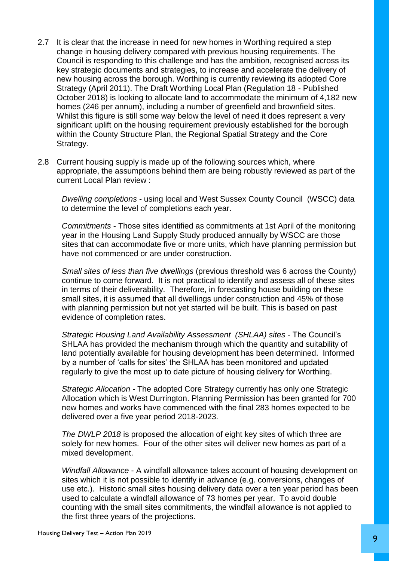- 2.7 It is clear that the increase in need for new homes in Worthing required a step change in housing delivery compared with previous housing requirements. The Council is responding to this challenge and has the ambition, recognised across its key strategic documents and strategies, to increase and accelerate the delivery of new housing across the borough. Worthing is currently reviewing its adopted Core Strategy (April 2011). The Draft Worthing Local Plan (Regulation 18 - Published October 2018) is looking to allocate land to accommodate the minimum of 4,182 new homes (246 per annum), including a number of greenfield and brownfield sites. Whilst this figure is still some way below the level of need it does represent a very significant uplift on the housing requirement previously established for the borough within the County Structure Plan, the Regional Spatial Strategy and the Core Strategy.
- 2.8 Current housing supply is made up of the following sources which, where appropriate, the assumptions behind them are being robustly reviewed as part of the current Local Plan review :

*Dwelling completions* - using local and West Sussex County Council (WSCC) data to determine the level of completions each year.

*Commitments* - Those sites identified as commitments at 1st April of the monitoring year in the Housing Land Supply Study produced annually by WSCC are those sites that can accommodate five or more units, which have planning permission but have not commenced or are under construction.

*Small sites of less than five dwellings* (previous threshold was 6 across the County) continue to come forward. It is not practical to identify and assess all of these sites in terms of their deliverability. Therefore, in forecasting house building on these small sites, it is assumed that all dwellings under construction and 45% of those with planning permission but not yet started will be built. This is based on past evidence of completion rates.

*Strategic Housing Land Availability Assessment (SHLAA) sites* - The Council's SHLAA has provided the mechanism through which the quantity and suitability of land potentially available for housing development has been determined. Informed by a number of 'calls for sites' the SHLAA has been monitored and updated regularly to give the most up to date picture of housing delivery for Worthing.

*Strategic Allocation* - The adopted Core Strategy currently has only one Strategic Allocation which is West Durrington. Planning Permission has been granted for 700 new homes and works have commenced with the final 283 homes expected to be delivered over a five year period 2018-2023.

*The DWLP 2018* is proposed the allocation of eight key sites of which three are solely for new homes. Four of the other sites will deliver new homes as part of a mixed development.

*Windfall Allowance* - A windfall allowance takes account of housing development on sites which it is not possible to identify in advance (e.g. conversions, changes of use etc.). Historic small sites housing delivery data over a ten year period has been used to calculate a windfall allowance of 73 homes per year. To avoid double counting with the small sites commitments, the windfall allowance is not applied to the first three years of the projections.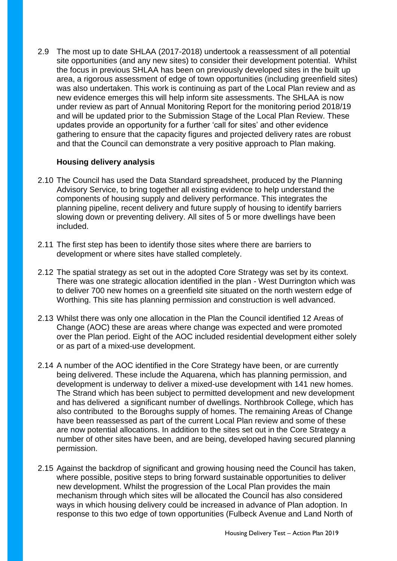2.9 The most up to date SHLAA (2017-2018) undertook a reassessment of all potential site opportunities (and any new sites) to consider their development potential. Whilst the focus in previous SHLAA has been on previously developed sites in the built up area, a rigorous assessment of edge of town opportunities (including greenfield sites) was also undertaken. This work is continuing as part of the Local Plan review and as new evidence emerges this will help inform site assessments. The SHLAA is now under review as part of Annual Monitoring Report for the monitoring period 2018/19 and will be updated prior to the Submission Stage of the Local Plan Review. These updates provide an opportunity for a further 'call for sites' and other evidence gathering to ensure that the capacity figures and projected delivery rates are robust and that the Council can demonstrate a very positive approach to Plan making.

#### **Housing delivery analysis**

- 2.10 The Council has used the Data Standard spreadsheet, produced by the Planning Advisory Service, to bring together all existing evidence to help understand the components of housing supply and delivery performance. This integrates the planning pipeline, recent delivery and future supply of housing to identify barriers slowing down or preventing delivery. All sites of 5 or more dwellings have been included.
- 2.11 The first step has been to identify those sites where there are barriers to development or where sites have stalled completely.
- 2.12 The spatial strategy as set out in the adopted Core Strategy was set by its context. There was one strategic allocation identified in the plan - West Durrington which was to deliver 700 new homes on a greenfield site situated on the north western edge of Worthing. This site has planning permission and construction is well advanced.
- 2.13 Whilst there was only one allocation in the Plan the Council identified 12 Areas of Change (AOC) these are areas where change was expected and were promoted over the Plan period. Eight of the AOC included residential development either solely or as part of a mixed-use development.
- 2.14 A number of the AOC identified in the Core Strategy have been, or are currently being delivered. These include the Aquarena, which has planning permission, and development is underway to deliver a mixed-use development with 141 new homes. The Strand which has been subject to permitted development and new development and has delivered a significant number of dwellings. Northbrook College, which has also contributed to the Boroughs supply of homes. The remaining Areas of Change have been reassessed as part of the current Local Plan review and some of these are now potential allocations. In addition to the sites set out in the Core Strategy a number of other sites have been, and are being, developed having secured planning permission.
- 2.15 Against the backdrop of significant and growing housing need the Council has taken, where possible, positive steps to bring forward sustainable opportunities to deliver new development. Whilst the progression of the Local Plan provides the main mechanism through which sites will be allocated the Council has also considered ways in which housing delivery could be increased in advance of Plan adoption. In response to this two edge of town opportunities (Fulbeck Avenue and Land North of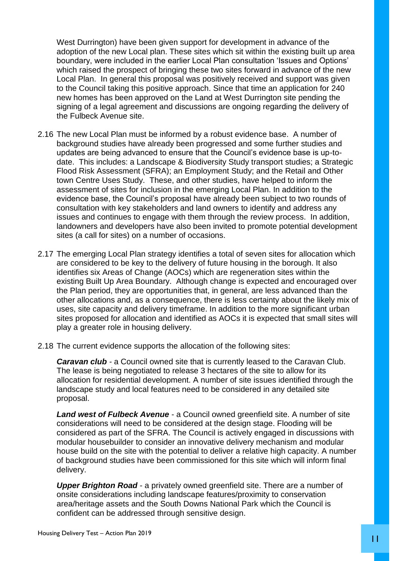West Durrington) have been given support for development in advance of the adoption of the new Local plan. These sites which sit within the existing built up area boundary, were included in the earlier Local Plan consultation 'Issues and Options' which raised the prospect of bringing these two sites forward in advance of the new Local Plan. In general this proposal was positively received and support was given to the Council taking this positive approach. Since that time an application for 240 new homes has been approved on the Land at West Durrington site pending the signing of a legal agreement and discussions are ongoing regarding the delivery of the Fulbeck Avenue site.

- 2.16 The new Local Plan must be informed by a robust evidence base. A number of background studies have already been progressed and some further studies and updates are being advanced to ensure that the Council's evidence base is up-todate. This includes: a Landscape & Biodiversity Study transport studies; a Strategic Flood Risk Assessment (SFRA); an Employment Study; and the Retail and Other town Centre Uses Study. These, and other studies, have helped to inform the assessment of sites for inclusion in the emerging Local Plan. In addition to the evidence base, the Council's proposal have already been subject to two rounds of consultation with key stakeholders and land owners to identify and address any issues and continues to engage with them through the review process. In addition, landowners and developers have also been invited to promote potential development sites (a call for sites) on a number of occasions.
- 2.17 The emerging Local Plan strategy identifies a total of seven sites for allocation which are considered to be key to the delivery of future housing in the borough. It also identifies six Areas of Change (AOCs) which are regeneration sites within the existing Built Up Area Boundary. Although change is expected and encouraged over the Plan period, they are opportunities that, in general, are less advanced than the other allocations and, as a consequence, there is less certainty about the likely mix of uses, site capacity and delivery timeframe. In addition to the more significant urban sites proposed for allocation and identified as AOCs it is expected that small sites will play a greater role in housing delivery.
- 2.18 The current evidence supports the allocation of the following sites:

*Caravan club* - a Council owned site that is currently leased to the Caravan Club. The lease is being negotiated to release 3 hectares of the site to allow for its allocation for residential development. A number of site issues identified through the landscape study and local features need to be considered in any detailed site proposal.

*Land west of Fulbeck Avenue* - a Council owned greenfield site. A number of site considerations will need to be considered at the design stage. Flooding will be considered as part of the SFRA. The Council is actively engaged in discussions with modular housebuilder to consider an innovative delivery mechanism and modular house build on the site with the potential to deliver a relative high capacity. A number of background studies have been commissioned for this site which will inform final delivery.

*Upper Brighton Road* - a privately owned greenfield site. There are a number of onsite considerations including landscape features/proximity to conservation area/heritage assets and the South Downs National Park which the Council is confident can be addressed through sensitive design.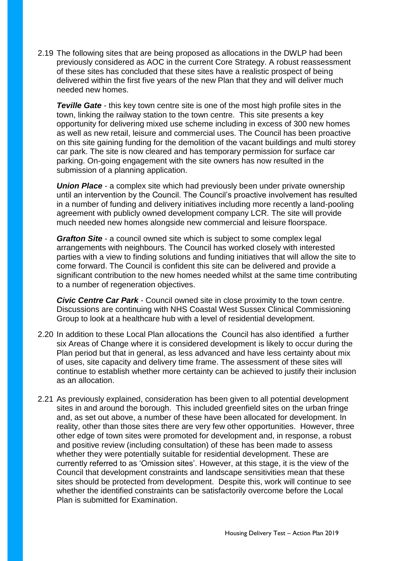2.19 The following sites that are being proposed as allocations in the DWLP had been previously considered as AOC in the current Core Strategy. A robust reassessment of these sites has concluded that these sites have a realistic prospect of being delivered within the first five years of the new Plan that they and will deliver much needed new homes.

*Teville Gate* - this key town centre site is one of the most high profile sites in the town, linking the railway station to the town centre. This site presents a key opportunity for delivering mixed use scheme including in excess of 300 new homes as well as new retail, leisure and commercial uses. The Council has been proactive on this site gaining funding for the demolition of the vacant buildings and multi storey car park. The site is now cleared and has temporary permission for surface car parking. On-going engagement with the site owners has now resulted in the submission of a planning application.

*Union Place* - a complex site which had previously been under private ownership until an intervention by the Council. The Council's proactive involvement has resulted in a number of funding and delivery initiatives including more recently a land-pooling agreement with publicly owned development company LCR. The site will provide much needed new homes alongside new commercial and leisure floorspace.

*Grafton Site* - a council owned site which is subject to some complex legal arrangements with neighbours. The Council has worked closely with interested parties with a view to finding solutions and funding initiatives that will allow the site to come forward. The Council is confident this site can be delivered and provide a significant contribution to the new homes needed whilst at the same time contributing to a number of regeneration objectives.

*Civic Centre Car Park* - Council owned site in close proximity to the town centre. Discussions are continuing with NHS Coastal West Sussex Clinical Commissioning Group to look at a healthcare hub with a level of residential development.

- 2.20 In addition to these Local Plan allocations the Council has also identified a further six Areas of Change where it is considered development is likely to occur during the Plan period but that in general, as less advanced and have less certainty about mix of uses, site capacity and delivery time frame. The assessment of these sites will continue to establish whether more certainty can be achieved to justify their inclusion as an allocation.
- 2.21 As previously explained, consideration has been given to all potential development sites in and around the borough. This included greenfield sites on the urban fringe and, as set out above, a number of these have been allocated for development. In reality, other than those sites there are very few other opportunities. However, three other edge of town sites were promoted for development and, in response, a robust and positive review (including consultation) of these has been made to assess whether they were potentially suitable for residential development. These are currently referred to as 'Omission sites'. However, at this stage, it is the view of the Council that development constraints and landscape sensitivities mean that these sites should be protected from development. Despite this, work will continue to see whether the identified constraints can be satisfactorily overcome before the Local Plan is submitted for Examination.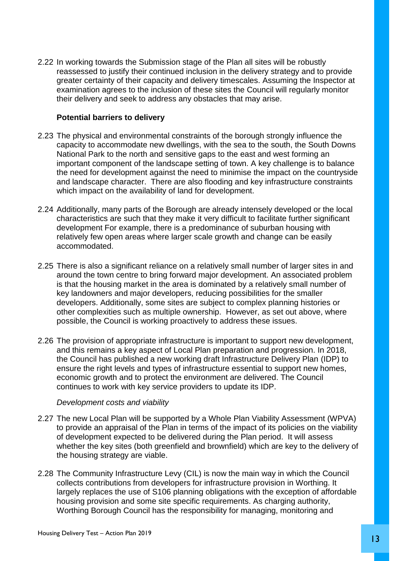2.22 In working towards the Submission stage of the Plan all sites will be robustly reassessed to justify their continued inclusion in the delivery strategy and to provide greater certainty of their capacity and delivery timescales. Assuming the Inspector at examination agrees to the inclusion of these sites the Council will regularly monitor their delivery and seek to address any obstacles that may arise.

#### **Potential barriers to delivery**

- 2.23 The physical and environmental constraints of the borough strongly influence the capacity to accommodate new dwellings, with the sea to the south, the South Downs National Park to the north and sensitive gaps to the east and west forming an important component of the landscape setting of town. A key challenge is to balance the need for development against the need to minimise the impact on the countryside and landscape character. There are also flooding and key infrastructure constraints which impact on the availability of land for development.
- 2.24 Additionally, many parts of the Borough are already intensely developed or the local characteristics are such that they make it very difficult to facilitate further significant development For example, there is a predominance of suburban housing with relatively few open areas where larger scale growth and change can be easily accommodated.
- 2.25 There is also a significant reliance on a relatively small number of larger sites in and around the town centre to bring forward major development. An associated problem is that the housing market in the area is dominated by a relatively small number of key landowners and major developers, reducing possibilities for the smaller developers. Additionally, some sites are subject to complex planning histories or other complexities such as multiple ownership. However, as set out above, where possible, the Council is working proactively to address these issues.
- 2.26 The provision of appropriate infrastructure is important to support new development, and this remains a key aspect of Local Plan preparation and progression. In 2018, the Council has published a new working draft Infrastructure Delivery Plan (IDP) to ensure the right levels and types of infrastructure essential to support new homes, economic growth and to protect the environment are delivered. The Council continues to work with key service providers to update its IDP.

#### *Development costs and viability*

- 2.27 The new Local Plan will be supported by a Whole Plan Viability Assessment (WPVA) to provide an appraisal of the Plan in terms of the impact of its policies on the viability of development expected to be delivered during the Plan period. It will assess whether the key sites (both greenfield and brownfield) which are key to the delivery of the housing strategy are viable.
- 2.28 The Community Infrastructure Levy (CIL) is now the main way in which the Council collects contributions from developers for infrastructure provision in Worthing. It largely replaces the use of S106 planning obligations with the exception of affordable housing provision and some site specific requirements. As charging authority, Worthing Borough Council has the responsibility for managing, monitoring and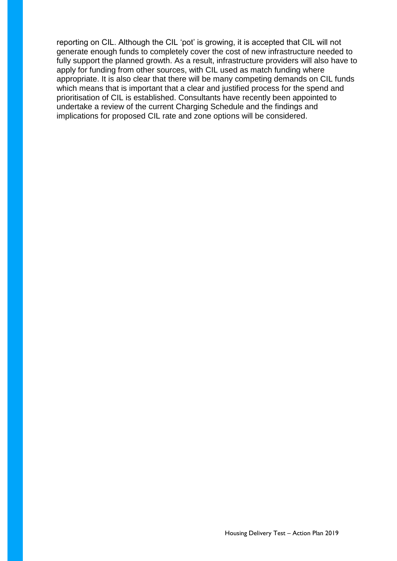reporting on CIL. Although the CIL 'pot' is growing, it is accepted that CIL will not generate enough funds to completely cover the cost of new infrastructure needed to fully support the planned growth. As a result, infrastructure providers will also have to apply for funding from other sources, with CIL used as match funding where appropriate. It is also clear that there will be many competing demands on CIL funds which means that is important that a clear and justified process for the spend and prioritisation of CIL is established. Consultants have recently been appointed to undertake a review of the current Charging Schedule and the findings and implications for proposed CIL rate and zone options will be considered.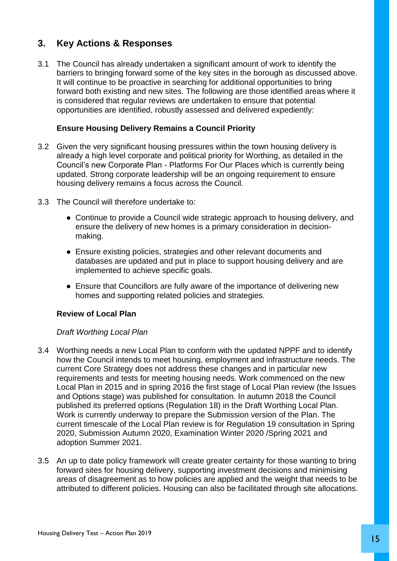# **3. Key Actions & Responses**

3.1 The Council has already undertaken a significant amount of work to identify the barriers to bringing forward some of the key sites in the borough as discussed above. It will continue to be proactive in searching for additional opportunities to bring forward both existing and new sites. The following are those identified areas where it is considered that regular reviews are undertaken to ensure that potential opportunities are identified, robustly assessed and delivered expediently:

#### **Ensure Housing Delivery Remains a Council Priority**

- 3.2 Given the very significant housing pressures within the town housing delivery is already a high level corporate and political priority for Worthing, as detailed in the Council's new Corporate Plan - Platforms For Our Places which is currently being updated. Strong corporate leadership will be an ongoing requirement to ensure housing delivery remains a focus across the Council.
- 3.3 The Council will therefore undertake to:
	- Continue to provide a Council wide strategic approach to housing delivery, and ensure the delivery of new homes is a primary consideration in decisionmaking.
	- Ensure existing policies, strategies and other relevant documents and databases are updated and put in place to support housing delivery and are implemented to achieve specific goals.
	- Ensure that Councillors are fully aware of the importance of delivering new homes and supporting related policies and strategies.

#### **Review of Local Plan**

#### *Draft Worthing Local Plan*

- 3.4 Worthing needs a new Local Plan to conform with the updated NPPF and to identify how the Council intends to meet housing, employment and infrastructure needs. The current Core Strategy does not address these changes and in particular new requirements and tests for meeting housing needs. Work commenced on the new Local Plan in 2015 and in spring 2016 the first stage of Local Plan review (the Issues and Options stage) was published for consultation. In autumn 2018 the Council published its preferred options (Regulation 18) in the Draft Worthing Local Plan. Work is currently underway to prepare the Submission version of the Plan. The current timescale of the Local Plan review is for Regulation 19 consultation in Spring 2020, Submission Autumn 2020, Examination Winter 2020 /Spring 2021 and adoption Summer 2021.
- 3.5 An up to date policy framework will create greater certainty for those wanting to bring forward sites for housing delivery, supporting investment decisions and minimising areas of disagreement as to how policies are applied and the weight that needs to be attributed to different policies. Housing can also be facilitated through site allocations.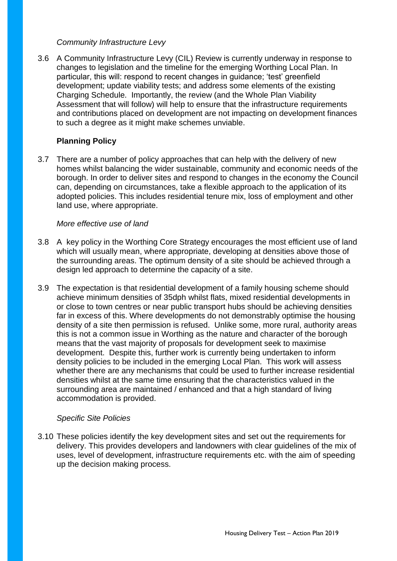### *Community Infrastructure Levy*

3.6 A Community Infrastructure Levy (CIL) Review is currently underway in response to changes to legislation and the timeline for the emerging Worthing Local Plan. In particular, this will: respond to recent changes in guidance; 'test' greenfield development; update viability tests; and address some elements of the existing Charging Schedule. Importantly, the review (and the Whole Plan Viability Assessment that will follow) will help to ensure that the infrastructure requirements and contributions placed on development are not impacting on development finances to such a degree as it might make schemes unviable.

# **Planning Policy**

3.7 There are a number of policy approaches that can help with the delivery of new homes whilst balancing the wider sustainable, community and economic needs of the borough. In order to deliver sites and respond to changes in the economy the Council can, depending on circumstances, take a flexible approach to the application of its adopted policies. This includes residential tenure mix, loss of employment and other land use, where appropriate.

#### *More effective use of land*

- 3.8 A key policy in the Worthing Core Strategy encourages the most efficient use of land which will usually mean, where appropriate, developing at densities above those of the surrounding areas. The optimum density of a site should be achieved through a design led approach to determine the capacity of a site.
- 3.9 The expectation is that residential development of a family housing scheme should achieve minimum densities of 35dph whilst flats, mixed residential developments in or close to town centres or near public transport hubs should be achieving densities far in excess of this. Where developments do not demonstrably optimise the housing density of a site then permission is refused. Unlike some, more rural, authority areas this is not a common issue in Worthing as the nature and character of the borough means that the vast majority of proposals for development seek to maximise development. Despite this, further work is currently being undertaken to inform density policies to be included in the emerging Local Plan. This work will assess whether there are any mechanisms that could be used to further increase residential densities whilst at the same time ensuring that the characteristics valued in the surrounding area are maintained / enhanced and that a high standard of living accommodation is provided.

#### *Specific Site Policies*

3.10 These policies identify the key development sites and set out the requirements for delivery. This provides developers and landowners with clear guidelines of the mix of uses, level of development, infrastructure requirements etc. with the aim of speeding up the decision making process.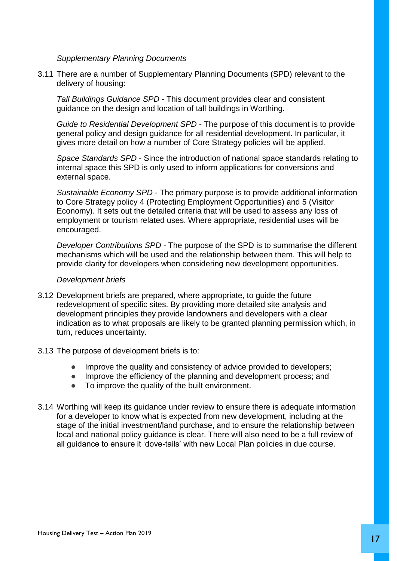#### *Supplementary Planning Documents*

3.11 There are a number of Supplementary Planning Documents (SPD) relevant to the delivery of housing:

*Tall Buildings Guidance SPD* - This document provides clear and consistent guidance on the design and location of tall buildings in Worthing.

*Guide to Residential Development SPD* - The purpose of this document is to provide general policy and design guidance for all residential development. In particular, it gives more detail on how a number of Core Strategy policies will be applied.

*Space Standards SPD* - Since the introduction of national space standards relating to internal space this SPD is only used to inform applications for conversions and external space.

*Sustainable Economy SPD* - The primary purpose is to provide additional information to Core Strategy policy 4 (Protecting Employment Opportunities) and 5 (Visitor Economy). It sets out the detailed criteria that will be used to assess any loss of employment or tourism related uses. Where appropriate, residential uses will be encouraged.

*Developer Contributions SPD* - The purpose of the SPD is to summarise the different mechanisms which will be used and the relationship between them. This will help to provide clarity for developers when considering new development opportunities.

#### *Development briefs*

- 3.12 Development briefs are prepared, where appropriate, to guide the future redevelopment of specific sites. By providing more detailed site analysis and development principles they provide landowners and developers with a clear indication as to what proposals are likely to be granted planning permission which, in turn, reduces uncertainty.
- 3.13 The purpose of development briefs is to:
	- Improve the quality and consistency of advice provided to developers;
	- Improve the efficiency of the planning and development process; and
	- To improve the quality of the built environment.
- 3.14 Worthing will keep its guidance under review to ensure there is adequate information for a developer to know what is expected from new development, including at the stage of the initial investment/land purchase, and to ensure the relationship between local and national policy guidance is clear. There will also need to be a full review of all guidance to ensure it 'dove-tails' with new Local Plan policies in due course.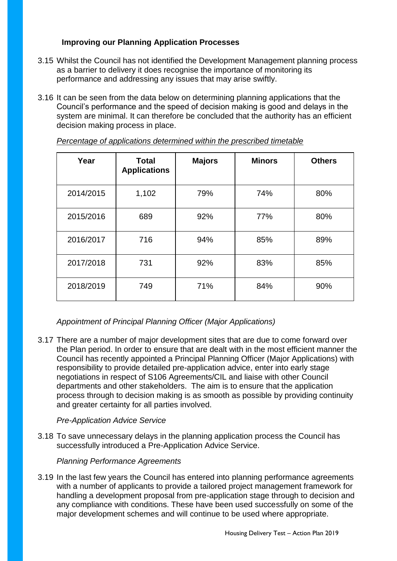# **Improving our Planning Application Processes**

- 3.15 Whilst the Council has not identified the Development Management planning process as a barrier to delivery it does recognise the importance of monitoring its performance and addressing any issues that may arise swiftly.
- 3.16 It can be seen from the data below on determining planning applications that the Council's performance and the speed of decision making is good and delays in the system are minimal. It can therefore be concluded that the authority has an efficient decision making process in place.

| Year      | <b>Total</b><br><b>Applications</b> | <b>Majors</b> | <b>Minors</b> | <b>Others</b> |
|-----------|-------------------------------------|---------------|---------------|---------------|
| 2014/2015 | 1,102                               | 79%           | 74%           | 80%           |
| 2015/2016 | 689                                 | 92%           | 77%           | 80%           |
| 2016/2017 | 716                                 | 94%           | 85%           | 89%           |
| 2017/2018 | 731                                 | 92%           | 83%           | 85%           |
| 2018/2019 | 749                                 | 71%           | 84%           | 90%           |

*Percentage of applications determined within the prescribed timetable*

*Appointment of Principal Planning Officer (Major Applications)* 

3.17 There are a number of major development sites that are due to come forward over the Plan period. In order to ensure that are dealt with in the most efficient manner the Council has recently appointed a Principal Planning Officer (Major Applications) with responsibility to provide detailed pre-application advice, enter into early stage negotiations in respect of S106 Agreements/CIL and liaise with other Council departments and other stakeholders. The aim is to ensure that the application process through to decision making is as smooth as possible by providing continuity and greater certainty for all parties involved.

#### *Pre-Application Advice Service*

3.18 To save unnecessary delays in the planning application process the Council has successfully introduced a Pre-Application Advice Service.

#### *Planning Performance Agreements*

3.19 In the last few years the Council has entered into planning performance agreements with a number of applicants to provide a tailored project management framework for handling a development proposal from pre-application stage through to decision and any compliance with conditions. These have been used successfully on some of the major development schemes and will continue to be used where appropriate.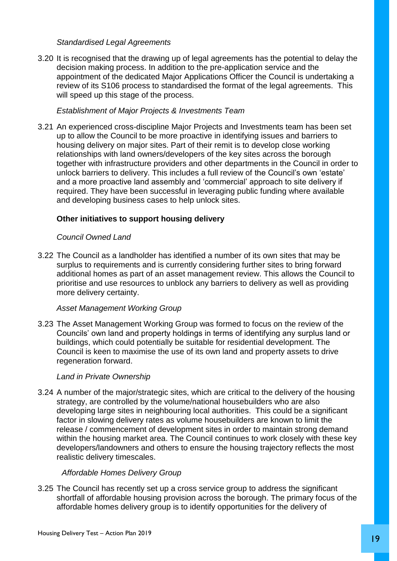### *Standardised Legal Agreements*

3.20 It is recognised that the drawing up of legal agreements has the potential to delay the decision making process. In addition to the pre-application service and the appointment of the dedicated Major Applications Officer the Council is undertaking a review of its S106 process to standardised the format of the legal agreements. This will speed up this stage of the process.

#### *Establishment of Major Projects & Investments Team*

3.21 An experienced cross-discipline Major Projects and Investments team has been set up to allow the Council to be more proactive in identifying issues and barriers to housing delivery on major sites. Part of their remit is to develop close working relationships with land owners/developers of the key sites across the borough together with infrastructure providers and other departments in the Council in order to unlock barriers to delivery. This includes a full review of the Council's own 'estate' and a more proactive land assembly and 'commercial' approach to site delivery if required. They have been successful in leveraging public funding where available and developing business cases to help unlock sites.

# **Other initiatives to support housing delivery**

#### *Council Owned Land*

3.22 The Council as a landholder has identified a number of its own sites that may be surplus to requirements and is currently considering further sites to bring forward additional homes as part of an asset management review. This allows the Council to prioritise and use resources to unblock any barriers to delivery as well as providing more delivery certainty.

#### *Asset Management Working Group*

3.23 The Asset Management Working Group was formed to focus on the review of the Councils' own land and property holdings in terms of identifying any surplus land or buildings, which could potentially be suitable for residential development. The Council is keen to maximise the use of its own land and property assets to drive regeneration forward.

#### *Land in Private Ownership*

3.24 A number of the major/strategic sites, which are critical to the delivery of the housing strategy, are controlled by the volume/national housebuilders who are also developing large sites in neighbouring local authorities. This could be a significant factor in slowing delivery rates as volume housebuilders are known to limit the release / commencement of development sites in order to maintain strong demand within the housing market area. The Council continues to work closely with these key developers/landowners and others to ensure the housing trajectory reflects the most realistic delivery timescales.

#### *Affordable Homes Delivery Group*

3.25 The Council has recently set up a cross service group to address the significant shortfall of affordable housing provision across the borough. The primary focus of the affordable homes delivery group is to identify opportunities for the delivery of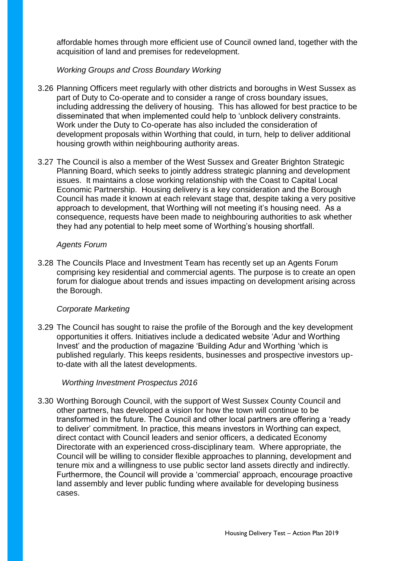affordable homes through more efficient use of Council owned land, together with the acquisition of land and premises for redevelopment.

*Working Groups and Cross Boundary Working*

- 3.26 Planning Officers meet regularly with other districts and boroughs in West Sussex as part of Duty to Co-operate and to consider a range of cross boundary issues, including addressing the delivery of housing. This has allowed for best practice to be disseminated that when implemented could help to 'unblock delivery constraints. Work under the Duty to Co-operate has also included the consideration of development proposals within Worthing that could, in turn, help to deliver additional housing growth within neighbouring authority areas.
- 3.27 The Council is also a member of the West Sussex and Greater Brighton Strategic Planning Board, which seeks to jointly address strategic planning and development issues. It maintains a close working relationship with the Coast to Capital Local Economic Partnership. Housing delivery is a key consideration and the Borough Council has made it known at each relevant stage that, despite taking a very positive approach to development, that Worthing will not meeting it's housing need. As a consequence, requests have been made to neighbouring authorities to ask whether they had any potential to help meet some of Worthing's housing shortfall.

# *Agents Forum*

3.28 The Councils Place and Investment Team has recently set up an Agents Forum comprising key residential and commercial agents. The purpose is to create an open forum for dialogue about trends and issues impacting on development arising across the Borough.

# *Corporate Marketing*

3.29 The Council has sought to raise the profile of the Borough and the key development opportunities it offers. Initiatives include a dedicated website 'Adur and Worthing Invest' and the production of magazine 'Building Adur and Worthing 'which is published regularly. This keeps residents, businesses and prospective investors upto-date with all the latest developments.

# *Worthing Investment Prospectus 2016*

3.30 Worthing Borough Council, with the support of West Sussex County Council and other partners, has developed a vision for how the town will continue to be transformed in the future. The Council and other local partners are offering a 'ready to deliver' commitment. In practice, this means investors in Worthing can expect, direct contact with Council leaders and senior officers, a dedicated Economy Directorate with an experienced cross-disciplinary team. Where appropriate, the Council will be willing to consider flexible approaches to planning, development and tenure mix and a willingness to use public sector land assets directly and indirectly. Furthermore, the Council will provide a 'commercial' approach, encourage proactive land assembly and lever public funding where available for developing business cases.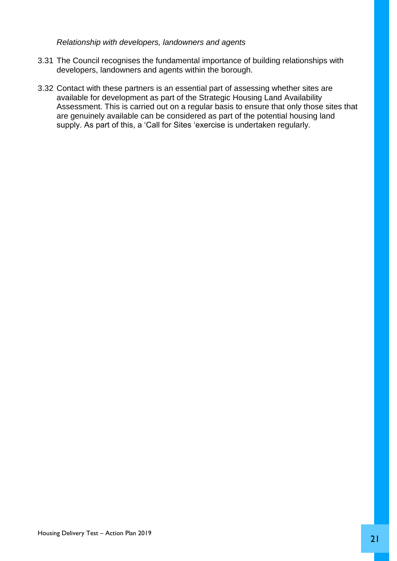*Relationship with developers, landowners and agents*

- 3.31 The Council recognises the fundamental importance of building relationships with developers, landowners and agents within the borough.
- 3.32 Contact with these partners is an essential part of assessing whether sites are available for development as part of the Strategic Housing Land Availability Assessment. This is carried out on a regular basis to ensure that only those sites that are genuinely available can be considered as part of the potential housing land supply. As part of this, a 'Call for Sites 'exercise is undertaken regularly.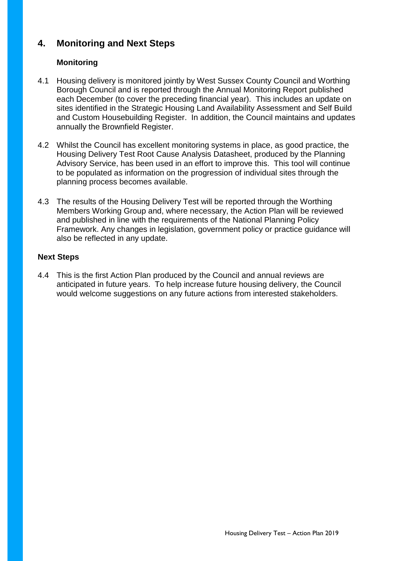# **4. Monitoring and Next Steps**

# **Monitoring**

- 4.1 Housing delivery is monitored jointly by West Sussex County Council and Worthing Borough Council and is reported through the Annual Monitoring Report published each December (to cover the preceding financial year). This includes an update on sites identified in the Strategic Housing Land Availability Assessment and Self Build and Custom Housebuilding Register. In addition, the Council maintains and updates annually the Brownfield Register.
- 4.2 Whilst the Council has excellent monitoring systems in place, as good practice, the Housing Delivery Test Root Cause Analysis Datasheet, produced by the Planning Advisory Service, has been used in an effort to improve this. This tool will continue to be populated as information on the progression of individual sites through the planning process becomes available.
- 4.3 The results of the Housing Delivery Test will be reported through the Worthing Members Working Group and, where necessary, the Action Plan will be reviewed and published in line with the requirements of the National Planning Policy Framework. Any changes in legislation, government policy or practice guidance will also be reflected in any update.

# **Next Steps**

4.4 This is the first Action Plan produced by the Council and annual reviews are anticipated in future years. To help increase future housing delivery, the Council would welcome suggestions on any future actions from interested stakeholders.